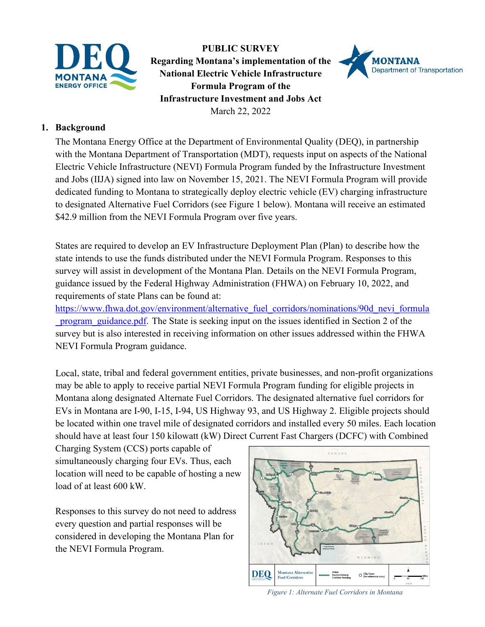

**PUBLIC SURVEY Regarding Montana's implementation of the National Electric Vehicle Infrastructure Formula Program of the Infrastructure Investment and Jobs Act** March 22, 2022



## **1. Background**

The Montana Energy Office at the Department of Environmental Quality (DEQ), in partnership with the Montana Department of Transportation (MDT), requests input on aspects of the National Electric Vehicle Infrastructure (NEVI) Formula Program funded by the Infrastructure Investment and Jobs (IIJA) signed into law on November 15, 2021. The NEVI Formula Program will provide dedicated funding to Montana to strategically deploy electric vehicle (EV) charging infrastructure to designated Alternative Fuel Corridors (see Figure 1 below). Montana will receive an estimated \$42.9 million from the NEVI Formula Program over five years.

States are required to develop an EV Infrastructure Deployment Plan (Plan) to describe how the state intends to use the funds distributed under the NEVI Formula Program. Responses to this survey will assist in development of the Montana Plan. Details on the NEVI Formula Program, guidance issued by the Federal Highway Administration (FHWA) on February 10, 2022, and requirements of state Plans can be found at:

[https://www.fhwa.dot.gov/environment/alternative\\_fuel\\_corridors/nominations/90d\\_nevi\\_formula](https://www.fhwa.dot.gov/environment/alternative_fuel_corridors/nominations/90d_nevi_formula_program_guidance.pdf) program guidance.pdf. The State is seeking input on the issues identified in Section 2 of the survey but is also interested in receiving information on other issues addressed within the FHWA NEVI Formula Program guidance.

Local, state, tribal and federal government entities, private businesses, and non-profit organizations may be able to apply to receive partial NEVI Formula Program funding for eligible projects in Montana along designated Alternate Fuel Corridors. The designated alternative fuel corridors for EVs in Montana are I-90, I-15, I-94, US Highway 93, and US Highway 2. Eligible projects should be located within one travel mile of designated corridors and installed every 50 miles. Each location should have at least four 150 kilowatt (kW) Direct Current Fast Chargers (DCFC) with Combined

Charging System (CCS) ports capable of simultaneously charging four EVs. Thus, each location will need to be capable of hosting a new load of at least 600 kW.

Responses to this survey do not need to address every question and partial responses will be considered in developing the Montana Plan for the NEVI Formula Program.



*Figure 1: Alternate Fuel Corridors in Montana*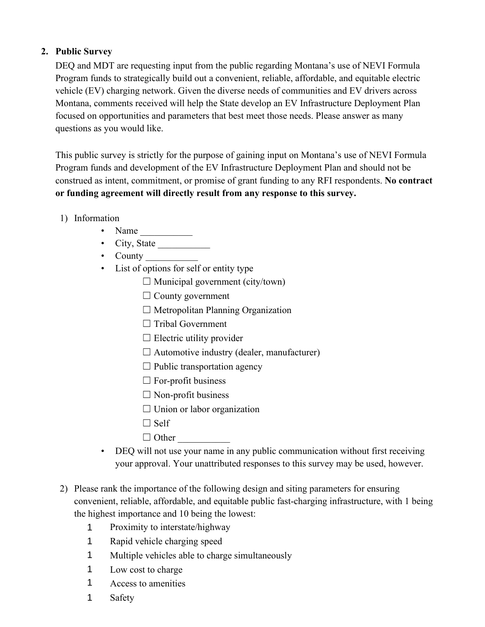## **2. Public Survey**

DEQ and MDT are requesting input from the public regarding Montana's use of NEVI Formula Program funds to strategically build out a convenient, reliable, affordable, and equitable electric vehicle (EV) charging network. Given the diverse needs of communities and EV drivers across Montana, comments received will help the State develop an EV Infrastructure Deployment Plan focused on opportunities and parameters that best meet those needs. Please answer as many questions as you would like.

This public survey is strictly for the purpose of gaining input on Montana's use of NEVI Formula Program funds and development of the EV Infrastructure Deployment Plan and should not be construed as intent, commitment, or promise of grant funding to any RFI respondents. **No contract or funding agreement will directly result from any response to this survey.**

- 1) Information
	- Name  $\frac{1}{\sqrt{1-\frac{1}{2}}}\$
	- City, State \_\_\_\_\_\_\_\_\_\_\_
	- County
	- List of options for self or entity type
		- $\Box$  Municipal government (city/town)
		- $\Box$  County government
		- $\Box$  Metropolitan Planning Organization
		- □ Tribal Government
		- $\Box$  Electric utility provider
		- $\Box$  Automotive industry (dealer, manufacturer)
		- $\Box$  Public transportation agency
		- $\Box$  For-profit business
		- $\Box$  Non-profit business
		- $\Box$  Union or labor organization
		- $\Box$  Self
		- $\Box$  Other
	- DEQ will not use your name in any public communication without first receiving your approval. Your unattributed responses to this survey may be used, however.
- 2) Please rank the importance of the following design and siting parameters for ensuring convenient, reliable, affordable, and equitable public fast-charging infrastructure, with 1 being the highest importance and 10 being the lowest:
	- Proximity to interstate/highway 1
	- Rapid vehicle charging speed 1
	- Multiple vehicles able to charge simultaneously 1
	- Low cost to charge 1
	- ☐ Access to amenities 1
	- **Safety** 1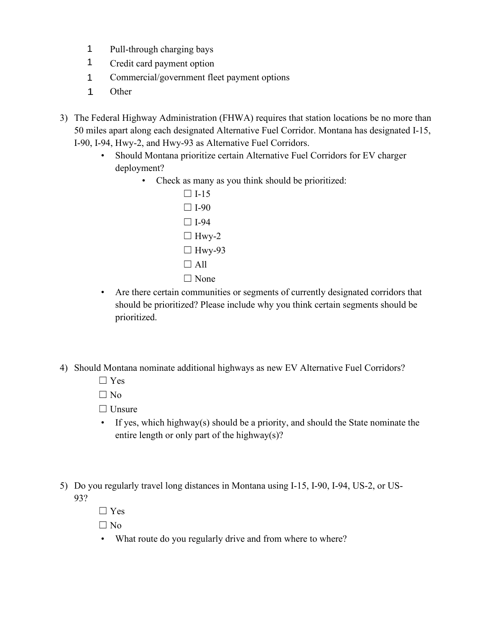- Pull-through charging bays 1
- Credit card payment option 1
- ☐ Commercial/government fleet payment options 1
- **Other** 1
- 3) The Federal Highway Administration (FHWA) requires that station locations be no more than 50 miles apart along each designated Alternative Fuel Corridor. Montana has designated I-15, I-90, I-94, Hwy-2, and Hwy-93 as Alternative Fuel Corridors.
	- Should Montana prioritize certain Alternative Fuel Corridors for EV charger deployment?
		- Check as many as you think should be prioritized:
			- $\Box$  I-15  $\Box$  I-90  $\Box$  I-94  $\Box$  Hwy-2  $\Box$  Hwy-93  $\Box$  All □ None
	- Are there certain communities or segments of currently designated corridors that should be prioritized? Please include why you think certain segments should be prioritized.
- 4) Should Montana nominate additional highways as new EV Alternative Fuel Corridors?
	- ☐ Yes

 $\Box$  No

- □ Unsure
- If yes, which highway(s) should be a priority, and should the State nominate the entire length or only part of the highway(s)?
- 5) Do you regularly travel long distances in Montana using I-15, I-90, I-94, US-2, or US-93?
	- ☐ Yes

 $\Box$  No

• What route do you regularly drive and from where to where?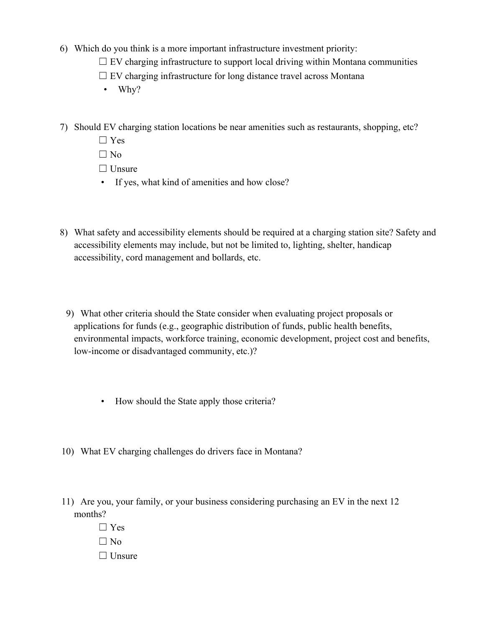- 6) Which do you think is a more important infrastructure investment priority:
	- $\Box$  EV charging infrastructure to support local driving within Montana communities
	- $\Box$  EV charging infrastructure for long distance travel across Montana
	- Why?
- 7) Should EV charging station locations be near amenities such as restaurants, shopping, etc?
	- ☐ Yes
	- $\Box$  No
	- □ Unsure
	- If yes, what kind of amenities and how close?
- 8) What safety and accessibility elements should be required at a charging station site? Safety and accessibility elements may include, but not be limited to, lighting, shelter, handicap accessibility, cord management and bollards, etc.
	- 9) What other criteria should the State consider when evaluating project proposals or applications for funds (e.g., geographic distribution of funds, public health benefits, environmental impacts, workforce training, economic development, project cost and benefits, low-income or disadvantaged community, etc.)?
		- How should the State apply those criteria?
- 10) What EV charging challenges do drivers face in Montana?
- 11) Are you, your family, or your business considering purchasing an EV in the next 12 months?
	- ☐ Yes  $\Box$  No
	- □ Unsure